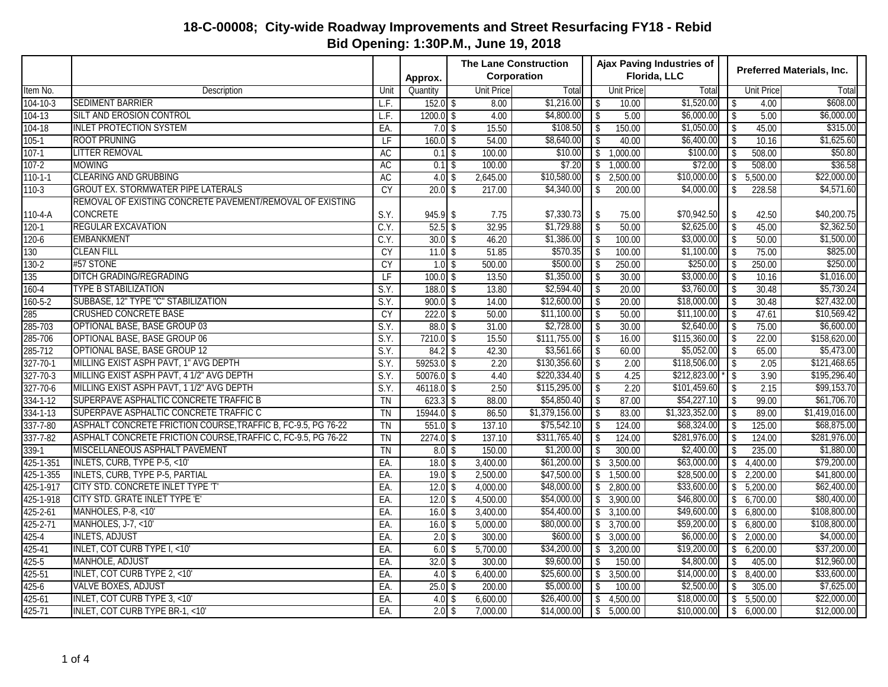|                |                                                               |                 |              | <b>The Lane Construction</b> |                |                          | Ajax Paving Industries of |                |                         | <b>Preferred Materials, Inc.</b> |                |  |  |
|----------------|---------------------------------------------------------------|-----------------|--------------|------------------------------|----------------|--------------------------|---------------------------|----------------|-------------------------|----------------------------------|----------------|--|--|
|                |                                                               |                 | Approx.      | Corporation                  |                |                          |                           | Florida, LLC   |                         |                                  |                |  |  |
| Item No.       | Description                                                   | Unit            | Quantity     | <b>Unit Price</b>            | Total          |                          | <b>Unit Price</b>         | Total          |                         | <b>Unit Price</b>                | Total          |  |  |
| $104 - 10 - 3$ | <b>SEDIMENT BARRIER</b>                                       | LF.             | $152.0$ \$   | 8.00                         | \$1,216.00     | \$                       | 10.00                     | \$1,520.00     | \$                      | 4.00                             | \$608.00       |  |  |
| 104-13         | SILT AND EROSION CONTROL                                      | L.F.            | $1200.0$ \$  | 4.00                         | \$4,800.00     | $\sqrt[6]{\frac{1}{2}}$  | 5.00                      | \$6,000.00     | $\sqrt[6]{\frac{1}{2}}$ | 5.00                             | \$6,000.00     |  |  |
| $104 - 18$     | <b>INLET PROTECTION SYSTEM</b>                                | EA.             | $7.0$ \$     | 15.50                        | \$108.50       | $\mathbb{S}$             | 150.00                    | \$1,050.00     | $\sqrt[6]{\frac{1}{2}}$ | 45.00                            | \$315.00       |  |  |
| $105 - 1$      | <b>ROOT PRUNING</b>                                           | LF              | $160.0$ \$   | 54.00                        | \$8,640.00     | \$                       | 40.00                     | \$6,400.00     | $\mathbf{\hat{S}}$      | 10.16                            | \$1,625.60     |  |  |
| $107-1$        | <b>LITTER REMOVAL</b>                                         | AC              | $0.1$ \$     | 100.00                       | \$10.00        | $\downarrow$             | 1,000.00                  | \$100.00       | $\sqrt{2}$              | 508.00                           | \$50.80        |  |  |
| $107 - 2$      | <b>MOWING</b>                                                 | <b>AC</b>       | $0.1$ \$     | 100.00                       | \$7.20         | \$                       | 1,000.00                  | \$72.00        | $\sqrt$                 | 508.00                           | \$36.58        |  |  |
| $110 - 1 - 1$  | <b>CLEARING AND GRUBBING</b>                                  | AC              | $4.0$ \$     | 2,645.00                     | \$10,580.00    | \$                       | 2,500.00                  | \$10,000.00    | $\sqrt[6]{3}$           | 5,500.00                         | \$22,000.00    |  |  |
| $110-3$        | <b>GROUT EX. STORMWATER PIPE LATERALS</b>                     | CY              | $20.0$ \$    | 217.00                       | \$4,340.00     | \$                       | 200.00                    | \$4,000.00     | \$                      | 228.58                           | \$4,571.60     |  |  |
|                | REMOVAL OF EXISTING CONCRETE PAVEMENT/REMOVAL OF EXISTING     |                 |              |                              |                |                          |                           |                |                         |                                  |                |  |  |
| 110-4-A        | <b>CONCRETE</b>                                               | S.Y.            | $945.9$ \$   | 7.75                         | \$7,330.73     | $\sqrt{2}$               | 75.00                     | \$70,942.50    | \$                      | 42.50                            | \$40,200.75    |  |  |
| $120 - 1$      | REGULAR EXCAVATION                                            | C.Y.            | $52.5$ \$    | 32.95                        | \$1,729.88     | $\sqrt{2}$               | 50.00                     | \$2,625.00     | $\sqrt{2}$              | 45.00                            | \$2,362.50     |  |  |
| $120 - 6$      | <b>EMBANKMENT</b>                                             | C.Y.            | $30.0$ \$    | 46.20                        | \$1,386.00     | $\sqrt{2}$               | 100.00                    | \$3,000.00     | $\sqrt{2}$              | 50.00                            | \$1,500.00     |  |  |
| 130            | <b>CLEAN FILL</b>                                             | <b>CY</b>       | $11.0$ \$    | 51.85                        | \$570.35       | $\sqrt{2}$               | 100.00                    | \$1,100.00     | \$                      | 75.00                            | \$825.00       |  |  |
| $130 - 2$      | #57 STONE                                                     | <b>CY</b>       | $1.0$ \$     | 500.00                       | \$500.00       | \$                       | 250.00                    | \$250.00       | $\sqrt[6]{\frac{1}{2}}$ | 250.00                           | \$250.00       |  |  |
| 135            | DITCH GRADING/REGRADING                                       | $\overline{LF}$ | $100.0$ \$   | 13.50                        | \$1,350.00     | $\overline{\$}$          | 30.00                     | \$3,000.00     | $\overline{\$}$         | 10.16                            | \$1,016.00     |  |  |
| $160 - 4$      | <b>TYPE B STABILIZATION</b>                                   | S.Y.            | $188.0$ \$   | 13.80                        | \$2,594.40     | $\overline{\mathbf{B}}$  | 20.00                     | \$3,760.00     | $\sqrt{2}$              | 30.48                            | \$5,730.24     |  |  |
| $160 - 5 - 2$  | SUBBASE, 12" TYPE "C" STABILIZATION                           | S.Y.            | $900.0$ \$   | 14.00                        | \$12,600.00    | $\overline{\mathcal{S}}$ | 20.00                     | \$18,000.00    | $\mathbf{\hat{S}}$      | 30.48                            | \$27,432.00    |  |  |
| 285            | <b>CRUSHED CONCRETE BASE</b>                                  | <b>CY</b>       | $222.0$ \$   | 50.00                        | \$11,100.00    | \$                       | 50.00                     | \$11,100.00    | $\sqrt{2}$              | 47.61                            | \$10,569.42    |  |  |
| 285-703        | OPTIONAL BASE, BASE GROUP 03                                  | S.Y.            | $88.0$ \$    | 31.00                        | \$2,728.00     | \$                       | 30.00                     | \$2,640.00     | \$                      | 75.00                            | \$6,600.00     |  |  |
| 285-706        | <b>OPTIONAL BASE, BASE GROUP 06</b>                           | S.Y.            | $7210.0$ \$  | 15.50                        | \$111,755.00   | $\sqrt[6]{2}$            | 16.00                     | \$115,360.00   | $\sqrt[6]{2}$           | 22.00                            | \$158,620.00   |  |  |
| 285-712        | <b>OPTIONAL BASE, BASE GROUP 12</b>                           | S.Y.            | $84.2$ \$    | 42.30                        | \$3,561.66     | \$                       | 60.00                     | \$5,052.00     | \$                      | 65.00                            | \$5,473.00     |  |  |
| $327 - 70 - 1$ | MILLING EXIST ASPH PAVT, 1" AVG DEPTH                         | S.Y.            | $59253.0$ \$ | 2.20                         | \$130,356.60   | \$                       | 2.00                      | \$118,506.00   | \$                      | 2.05                             | \$121,468.65   |  |  |
| 327-70-3       | MILLING EXIST ASPH PAVT, 4 1/2" AVG DEPTH                     | S.Y.            | $50076.0$ \$ | 4.40                         | \$220,334.40   | $\sqrt[6]{\frac{1}{2}}$  | 4.25                      | \$212,823.00   | $\sqrt[6]{\frac{1}{2}}$ | 3.90                             | \$195,296.40   |  |  |
| $327 - 70 - 6$ | MILLING EXIST ASPH PAVT, 1 1/2" AVG DEPTH                     | S.Y.            | $46118.0$ \$ | 2.50                         | \$115,295.00   | $\overline{\$}$          | 2.20                      | \$101,459.60   | $\sqrt{2}$              | 2.15                             | \$99,153.70    |  |  |
| $334 - 1 - 12$ | SUPERPAVE ASPHALTIC CONCRETE TRAFFIC B                        | <b>TN</b>       | $623.3$ \$   | 88.00                        | \$54,850.40    | \$                       | 87.00                     | \$54,227.10    | \$                      | 99.00                            | \$61,706.70    |  |  |
| 334-1-13       | SUPERPAVE ASPHALTIC CONCRETE TRAFFIC C                        | TN              | $15944.0$ \$ | 86.50                        | \$1,379,156.00 | \$                       | 83.00                     | \$1,323,352.00 | \$                      | 89.00                            | \$1,419,016.00 |  |  |
| $337 - 7 - 80$ | ASPHALT CONCRETE FRICTION COURSE, TRAFFIC B, FC-9.5, PG 76-22 | <b>TN</b>       | $551.0$ \$   | 137.10                       | \$75,542.10    | \$                       | 124.00                    | \$68,324.00    | \$                      | 125.00                           | \$68,875.00    |  |  |
| $337 - 7 - 82$ | ASPHALT CONCRETE FRICTION COURSE, TRAFFIC C, FC-9.5, PG 76-22 | <b>TN</b>       | $2274.0$ \$  | 137.10                       | \$311,765.40   | \$                       | 124.00                    | \$281,976.00   | \$                      | 124.00                           | \$281,976.00   |  |  |
| $339-1$        | MISCELLANEOUS ASPHALT PAVEMENT                                | $\overline{T}N$ | $8.0$ \$     | 150.00                       | \$1,200.00     | \$                       | 300.00                    | \$2,400.00     | \$                      | 235.00                           | \$1,880.00     |  |  |
| 425-1-351      | <b>INLETS, CURB, TYPE P-5, &lt;10'</b>                        | EA.             | $18.0$ \$    | 3,400.00                     | \$61,200.00    | $\mathbb{S}$             | 3,500.00                  | \$63,000.00    | \$                      | 4,400.00                         | \$79,200.00    |  |  |
| 425-1-355      | <b>INLETS, CURB, TYPE P-5, PARTIAL</b>                        | EA.             | $19.0$ \$    | 2,500.00                     | \$47,500.00    | $\sqrt[6]{\frac{1}{2}}$  | 1,500.00                  | \$28,500.00    | $\overline{\$}$         | 2,200.00                         | \$41,800.00    |  |  |
| 425-1-917      | CITY STD. CONCRETE INLET TYPE 'T'                             | EA.             | $12.0$ \$    | 4,000.00                     | \$48,000.00    | \$                       | 2,800.00                  | \$33,600.00    | \$                      | 5,200.00                         | \$62,400.00    |  |  |
| 425-1-918      | CITY STD. GRATE INLET TYPE 'E'                                | EA.             | $12.0$ \$    | 4,500.00                     | \$54,000.00    | \$                       | 3,900.00                  | \$46,800.00    | \$                      | 6,700.00                         | \$80,400.00    |  |  |
| $425 - 2 - 61$ | MANHOLES, P-8, <10'                                           | EA.             | $16.0$ \$    | 3,400.00                     | \$54,400.00    | $\mathbb{S}$             | 3,100.00                  | \$49,600.00    | \$                      | 6,800.00                         | \$108,800.00   |  |  |
| $425 - 2 - 71$ | MANHOLES, J-7, <10'                                           | EA.             | $16.0$ \$    | 5,000.00                     | \$80,000.00    | \$                       | 3,700.00                  | \$59,200.00    | \$                      | 6,800.00                         | \$108,800.00   |  |  |
| $425 - 4$      | <b>INLETS, ADJUST</b>                                         | EA.             | $2.0$ \$     | 300.00                       | \$600.00       | \$                       | 3,000.00                  | \$6,000.00]    | \$                      | 2,000.00                         | \$4,000.00     |  |  |
| 425-41         | INLET, COT CURB TYPE I, <10'                                  | EA.             | $6.0$ \$     | 5,700.00                     | \$34,200.00    | $\sqrt$                  | 3,200.00                  | \$19,200.00    | \$                      | 6,200.00                         | \$37,200.00    |  |  |
| $425 - 5$      | <b>MANHOLE, ADJUST</b>                                        | EA.             | $32.0$ \$    | 300.00                       | \$9,600.00     | \$                       | 150.00                    | \$4,800.00     | \$                      | 405.00                           | \$12,960.00    |  |  |
| 425-51         | INLET, COT CURB TYPE 2, <10'                                  | EA.             | $4.0$ \$     | 6,400.00                     | \$25,600.00    | \$                       | 3,500.00                  | \$14,000.00    | \$                      | 8,400.00                         | \$33,600.00    |  |  |
| $425 - 6$      | <b>VALVE BOXES, ADJUST</b>                                    | EA.             | $25.0$ \$    | 200.00                       | \$5,000.00     | $\$\,$                   | 100.00                    | \$2,500.00     | \$                      | 305.00                           | \$7,625.00     |  |  |
| 425-61         | <b>INLET, COT CURB TYPE 3, &lt;10'</b>                        | EA.             | $4.0$ \$     | 6,600.00                     | \$26,400.00    | \$                       | 4,500.00                  | \$18,000.00    | \$                      | 5,500.00                         | \$22,000.00    |  |  |
| 425-71         | INLET, COT CURB TYPE BR-1, <10'                               | EA.             | $2.0$ \$     | 7,000.00                     | \$14,000.00    | \$                       | 5,000.00                  | \$10,000.00    | \$                      | 6,000.00                         | \$12,000.00    |  |  |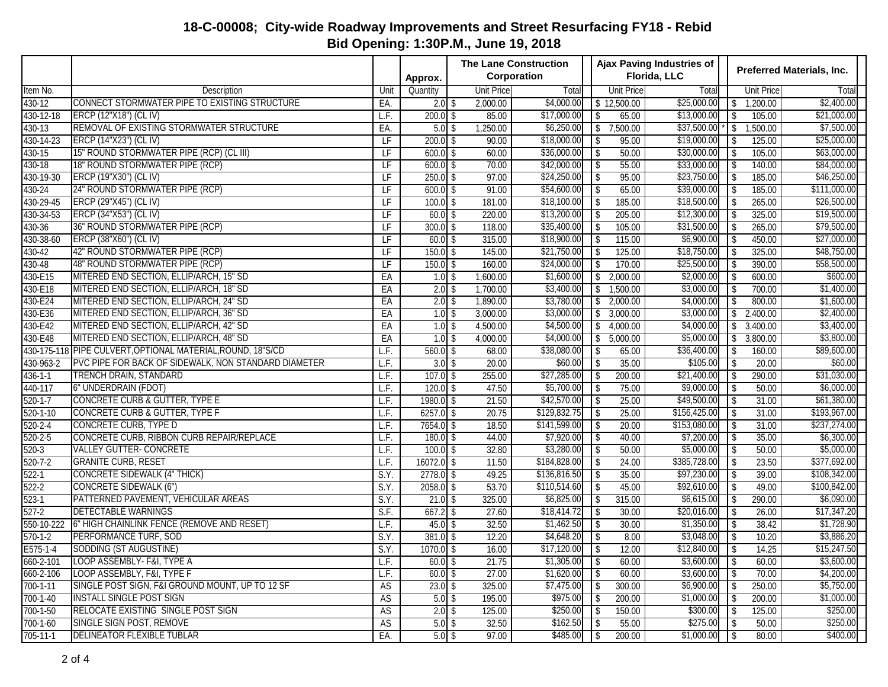|                        |                                                             |      |              | <b>The Lane Construction</b> |              |                         |                       | Ajax Paving Industries of | <b>Preferred Materials, Inc.</b> |            |              |  |
|------------------------|-------------------------------------------------------------|------|--------------|------------------------------|--------------|-------------------------|-----------------------|---------------------------|----------------------------------|------------|--------------|--|
|                        |                                                             |      | Approx.      | Corporation                  |              |                         |                       | Florida, LLC              |                                  |            |              |  |
| Item No.               | Description                                                 | Unit | Quantity     | <b>Unit Price</b>            | Total        |                         | <b>Unit Price</b>     | Total                     |                                  | Unit Price | Total        |  |
| 430-12                 | CONNECT STORMWATER PIPE TO EXISTING STRUCTURE               | EA.  | $2.0$ \$     | 2,000.00                     | \$4,000.00   |                         | $\frac{1}{12,500.00}$ | \$25,000.00               | $\sqrt[6]{}$                     | 1,200.00   | \$2,400.00   |  |
| 430-12-18              | ERCP (12"X18") (CL IV)                                      | L.F. | $200.0$ \$   | 85.00                        | \$17,000.00  | \$                      | 65.00                 | \$13,000.00               | \$                               | 105.00     | \$21,000.00  |  |
| 430-13                 | REMOVAL OF EXISTING STORMWATER STRUCTURE                    | EA.  | $5.0$ \$     | 1,250.00                     | \$6,250.00   | \$                      | 7,500.00              | \$37,500.00               | \$                               | 1,500.00   | \$7,500.00   |  |
| 430-14-23              | <b>ERCP (14"X23") (CL IV)</b>                               | LF   | $200.0$ \$   | 90.00                        | \$18,000.00  | \$                      | 95.00                 | \$19,000.00               | \$                               | 125.00     | \$25,000.00  |  |
| 430-15                 | 15" ROUND STORMWATER PIPE (RCP) (CL III)                    | LF   | $600.0$ \$   | 60.00                        | \$36,000.00  | \$                      | 50.00                 | \$30,000.00               | $\sqrt[6]{\frac{1}{2}}$          | 105.00     | \$63,000.00  |  |
| 430-18                 | 18" ROUND STORMWATER PIPE (RCP)                             | LF   | $600.0$ \$   | 70.00                        | \$42,000.00  | \$                      | 55.00                 | \$33,000.00               | \$                               | 140.00     | \$84,000.00  |  |
| 430-19-30              | ERCP (19"X30") (CL IV)                                      | LF   | $250.0$ \$   | 97.00                        | \$24,250.00  | \$                      | 95.00                 | \$23,750.00               | $\sqrt[6]{\frac{1}{2}}$          | 185.00     | \$46,250.00  |  |
| 430-24                 | 24" ROUND STORMWATER PIPE (RCP)                             | LF   | $600.0$ \$   | 91.00                        | \$54,600.00  | \$                      | 65.00                 | \$39,000.00               | \$                               | 185.00     | \$111,000.00 |  |
| 430-29-45              | ERCP (29"X45") (CL IV)                                      | LF   | $100.0$ \$   | 181.00                       | \$18,100.00  | \$                      | 185.00                | \$18,500.00               | \$                               | 265.00     | \$26,500.00  |  |
| 430-34-53              | ERCP (34"X53") (CL IV)                                      | LF   | $60.0$ \$    | 220.00                       | \$13,200.00  | \$                      | 205.00                | \$12,300.00               | $\downarrow$                     | 325.00     | \$19,500.00  |  |
| 430-36                 | 36" ROUND STORMWATER PIPE (RCP)                             | LF   | $300.0$ \$   | 118.00                       | \$35,400.00  | \$                      | 105.00                | \$31,500.00               | $\sqrt[6]{\frac{1}{2}}$          | 265.00     | \$79,500.00  |  |
| 430-38-60              | ERCP (38"X60") (CL IV)                                      | LF   | $60.0$ \$    | 315.00                       | \$18,900.00  | \$                      | 115.00                | \$6,900.00                | \$                               | 450.00     | \$27,000.00  |  |
| 430-42                 | 42" ROUND STORMWATER PIPE (RCP)                             | LF   | $150.0$ \$   | 145.00                       | \$21,750.00  | \$                      | 125.00                | \$18,750.00               | \$                               | 325.00     | \$48,750.00  |  |
| 430-48                 | 48" ROUND STORMWATER PIPE (RCP)                             | LF   | $150.0$ \$   | 160.00                       | \$24,000.00  | \$                      | 170.00                | \$25,500.00               | $\sqrt[6]{\frac{1}{2}}$          | 390.00     | \$58,500.00  |  |
| 430-E15                | MITERED END SECTION, ELLIP/ARCH, 15" SD                     | EA   | $1.0$ \$     | 1,600.00                     | \$1,600.00   | \$                      | 2,000.00              | \$2,000.00                | $\,$                             | 600.00     | \$600.00     |  |
| 430-E18                | MITERED END SECTION, ELLIP/ARCH, 18" SD                     | EA   | $2.0$ \$     | 1,700.00                     | \$3,400.00   | \$                      | 1,500.00              | \$3,000.00                | \$                               | 700.00     | \$1,400.00   |  |
| 430-E24                | MITERED END SECTION, ELLIP/ARCH, 24" SD                     | EA   | $2.0$ \$     | 1,890.00                     | \$3,780.00   |                         | \$2,000.00            | \$4,000.00                | \$                               | 800.00     | \$1,600.00   |  |
| 430-E36                | MITERED END SECTION, ELLIP/ARCH, 36" SD                     | EA   | $1.0$ \$     | 3,000.00                     | \$3,000.00   | $\mathbb{S}$            | 3,000.00              | \$3,000.00                | \$                               | 2,400.00   | \$2,400.00   |  |
| 430-E42                | MITERED END SECTION, ELLIP/ARCH, 42" SD                     | EA   | $1.0$ \$     | 4,500.00                     | \$4,500.00   | \$                      | 4,000.00              | \$4,000.00                | \$                               | 3,400.00   | \$3,400.00   |  |
| 430-E48                | MITERED END SECTION, ELLIP/ARCH, 48" SD                     | EA   | $1.0$ \$     | 4,000.00                     | \$4,000.00   | \$                      | 5,000.00              | \$5,000.00                | \$                               | 3,800.00   | \$3,800.00   |  |
|                        | 430-175-118 PIPE CULVERT, OPTIONAL MATERIAL, ROUND, 18"S/CD | L.F. | $560.0$ \$   | 68.00                        | \$38,080.00  | \$                      | 65.00                 | \$36,400.00               | \$                               | 160.00     | \$89,600.00  |  |
| 430-963-2              | PVC PIPE FOR BACK OF SIDEWALK, NON STANDARD DIAMETER        | LF.  | $3.0$ \$     | 20.00                        | \$60.00      | \$                      | 35.00                 | \$105.00                  | \$                               | 20.00      | \$60.00      |  |
| $436 - 1 - 1$          | <b>TRENCH DRAIN, STANDARD</b>                               | L.F. | $107.0$ \$   | 255.00                       | \$27,285.00  | \$                      | 200.00                | \$21,400.00               | $\sqrt{2}$                       | 290.00     | \$31,030.00  |  |
| 440-117                | 6" UNDERDRAIN (FDOT)                                        | L.F. | $120.0$ \$   | 47.50                        | \$5,700.00   | \$                      | 75.00                 | \$9,000.00                | \$                               | 50.00      | \$6,000.00   |  |
| $520 - 1 - 7$          | <b>CONCRETE CURB &amp; GUTTER, TYPE E</b>                   | L.F. | 1980.0 \$    | 21.50                        | \$42,570.00  | \$                      | 25.00                 | \$49,500.00               | \$                               | 31.00      | \$61,380.00  |  |
| $520 - 1 - 10$         | <b>CONCRETE CURB &amp; GUTTER, TYPE F</b>                   | L.F. | $6257.0$ \$  | 20.75                        | \$129,832.75 | \$                      | 25.00                 | \$156,425.00              | $\sqrt[6]{\frac{1}{2}}$          | 31.00      | \$193,967.00 |  |
| $520 - 2 - 4$          | <b>CONCRETE CURB, TYPE D</b>                                | L.F. | 7654.0 \$    | 18.50                        | \$141,599.00 | \$                      | 20.00                 | \$153,080.00              | \$                               | 31.00      | \$237,274.00 |  |
| $520 - 2 - 5$          | CONCRETE CURB, RIBBON CURB REPAIR/REPLACE                   | L.F. | $180.0$ \$   | 44.00                        | \$7,920.00   | \$                      | 40.00                 | \$7,200.00                | $\sqrt{2}$                       | 35.00      | \$6,300.00   |  |
| $520-3$                | <b>VALLEY GUTTER- CONCRETE</b>                              | L.F. | $100.0$ \$   | 32.80                        | \$3,280.00   | \$                      | 50.00                 | \$5,000.00                | $\sqrt[6]{}$                     | 50.00      | \$5,000.00   |  |
| $520 - 7 - 2$          | <b>GRANITE CURB, RESET</b>                                  | L.F. | $16072.0$ \$ | 11.50                        | \$184,828.00 | \$                      | 24.00                 | \$385,728.00              | $\sqrt{2}$                       | 23.50      | \$377,692.00 |  |
| $522 - 1$              | <b>CONCRETE SIDEWALK (4" THICK)</b>                         | S.Y. | $2778.0$ \$  | 49.25                        | \$136,816.50 | \$                      | 35.00                 | \$97,230.00               | \$                               | 39.00      | \$108,342.00 |  |
| $522 - 2$              | <b>CONCRETE SIDEWALK (6")</b>                               | S.Y. | $2058.0$ \$  | 53.70                        | \$110,514.60 | \$                      | 45.00                 | \$92,610.00               | \$                               | 49.00      | \$100,842.00 |  |
| $523-1$                | PATTERNED PAVEMENT, VEHICULAR AREAS                         | S.Y. | $21.0$ \$    | 325.00                       | \$6,825.00   | \$                      | 315.00                | \$6,615.00                | \$                               | 290.00     | \$6,090.00   |  |
| $527 - 2$              | <b>DETECTABLE WARNINGS</b>                                  | S.F. | $667.2$ \$   | 27.60                        | \$18,414.72  | \$                      | 30.00                 | \$20,016.00               | \$                               | 26.00      | \$17,347.20  |  |
| 550-10-222             | 6" HIGH CHAINLINK FENCE (REMOVE AND RESET)                  | L.F. | $45.0$ \$    | 32.50                        | \$1,462.50   | $\sqrt[6]{\frac{1}{2}}$ | 30.00                 | \$1,350.00                | $\downarrow$                     | 38.42      | \$1,728.90   |  |
| $\overline{570-1} - 2$ | PERFORMANCE TURF, SOD                                       | S.Y. | $381.0$ \$   | 12.20                        | \$4,648.20   | \$                      | 8.00                  | \$3,048.00                | $\sqrt{2}$                       | 10.20      | \$3,886.20   |  |
| $E575 - 1 - 4$         | SODDING (ST AUGUSTINE)                                      | S.Y. | $1070.0$ \$  | 16.00                        | \$17,120.00  | \$                      | 12.00                 | \$12,840.00               | $\sqrt{2}$                       | 14.25      | \$15,247.50  |  |
| 660-2-101              | LOOP ASSEMBLY- F&I, TYPE A                                  | L.F. | $60.0$ \$    | 21.75                        | \$1,305.00   | $\mathcal{P}$           | 60.00                 | \$3,600.00                | $\downarrow$                     | 60.00      | \$3,600.00   |  |
| 660-2-106              | LOOP ASSEMBLY, F&I, TYPE F                                  | L.F. | $60.0$ \$    | 27.00                        | \$1,620.00   | $\vert$ \$              | 60.00                 | \$3,600.00                | $\sqrt{ }$                       | 70.00      | \$4,200.00   |  |
| $700 - 1 - 11$         | SINGLE POST SIGN, F&I GROUND MOUNT, UP TO 12 SF             | AS   | $23.0$ \$    | 325.00                       | \$7,475.00   | \$                      | 300.00                | \$6,900.00                | \$                               | 250.00     | \$5,750.00   |  |
| $700 - 1 - 40$         | <b>INSTALL SINGLE POST SIGN</b>                             | AS   | $5.0$ \$     | 195.00                       | \$975.00     | \$                      | 200.00                | \$1,000.00                | \$                               | 200.00     | \$1,000.00]  |  |
| 700-1-50               | <b>RELOCATE EXISTING SINGLE POST SIGN</b>                   | AS   | $2.0$ \$     | 125.00                       | \$250.00     | \$                      | 150.00                | \$300.00                  | $\sqrt{2}$                       | 125.00     | \$250.00     |  |
| $700 - 1 - 60$         | SINGLE SIGN POST, REMOVE                                    | AS   | $5.0$ \$     | 32.50                        | \$162.50     | \$                      | 55.00                 | \$275.00                  | $\sqrt[6]{\frac{1}{2}}$          | 50.00      | \$250.00     |  |
| 705-11-1               | <b>DELINEATOR FLEXIBLE TUBLAR</b>                           | EA.  | $5.0$ \$     | 97.00                        | \$485.00     | \$                      | 200.00                | \$1,000.00                | \$                               | 80.00      | \$400.00     |  |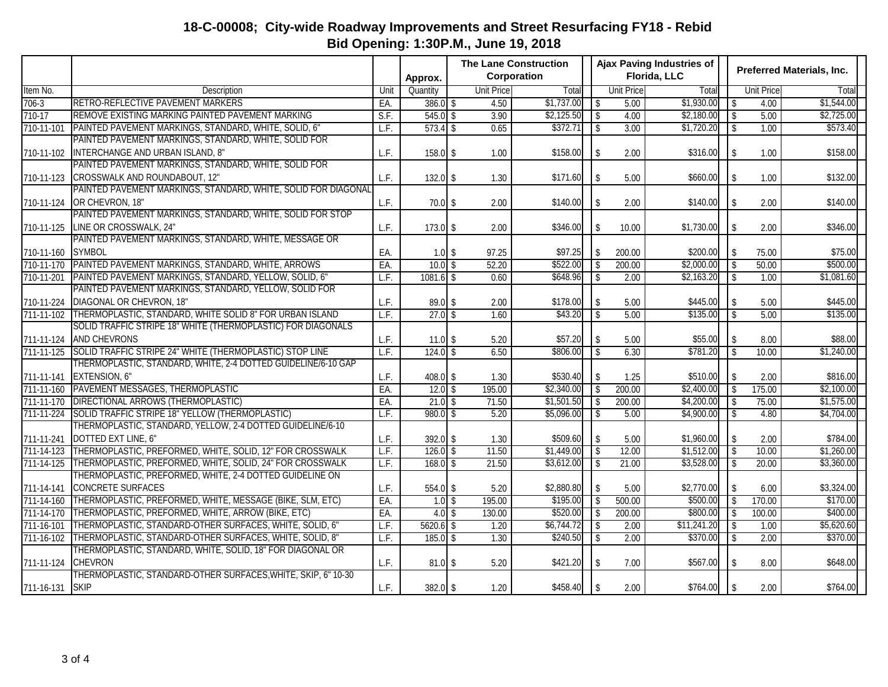|                  |                                                                |      |             | <b>The Lane Construction</b> |                   |            | <b>Ajax Paving Industries of</b> |                   |              |  |                                   |            |
|------------------|----------------------------------------------------------------|------|-------------|------------------------------|-------------------|------------|----------------------------------|-------------------|--------------|--|-----------------------------------|------------|
|                  |                                                                |      | Approx.     | Corporation                  |                   |            |                                  |                   | Florida, LLC |  | <b>Preferred Materials, Inc.</b>  |            |
| Item No.         | Description                                                    | Unit | Quantity    |                              | <b>Unit Price</b> | Total      |                                  | <b>Unit Price</b> | Total        |  | <b>Unit Price</b>                 | Total      |
| $706-3$          | RETRO-REFLECTIVE PAVEMENT MARKERS                              | EA.  | $386.0$ \$  |                              | 4.50              | \$1,737.00 | $\sqrt{2}$                       | 5.00              | \$1,930.00   |  | $\mathbf{\hat{S}}$<br>4.00        | \$1,544.00 |
| $710-17$         | REMOVE EXISTING MARKING PAINTED PAVEMENT MARKING               | S.F. | $545.0$ \$  |                              | 3.90              | \$2,125.50 | $\sqrt[6]{\frac{1}{2}}$          | 4.00              | \$2,180.00   |  | $\sqrt{2}$<br>5.00                | \$2,725.00 |
| 710-11-101       | PAINTED PAVEMENT MARKINGS, STANDARD, WHITE, SOLID, 6"          | L.F. | $573.4$ \$  |                              | 0.65              | \$372.71   | $\mathbb{S}$                     | 3.00              | \$1,720.20   |  | $\mathbf{\hat{S}}$<br>1.00        | \$573.40   |
|                  | PAINTED PAVEMENT MARKINGS, STANDARD, WHITE, SOLID FOR          |      |             |                              |                   |            |                                  |                   |              |  |                                   |            |
| 710-11-102       | INTERCHANGE AND URBAN ISLAND, 8"                               | L.F. | $158.0$ \$  |                              | 1.00              | \$158.00   | \$                               | 2.00              | \$316.00     |  | $\sqrt{2}$<br>1.00                | \$158.00   |
|                  | PAINTED PAVEMENT MARKINGS, STANDARD, WHITE, SOLID FOR          |      |             |                              |                   |            |                                  |                   |              |  |                                   |            |
| 710-11-123       | CROSSWALK AND ROUNDABOUT, 12"                                  | L.F. | $132.0$ \$  |                              | 1.30              | \$171.60   | \$                               | 5.00              | \$660.00     |  | $\sqrt{2}$<br>1.00                | \$132.00   |
|                  | PAINTED PAVEMENT MARKINGS, STANDARD, WHITE, SOLID FOR DIAGONAL |      |             |                              |                   |            |                                  |                   |              |  |                                   |            |
| 710-11-124       | OR CHEVRON, 18"                                                | L.F. | $70.0$ \$   |                              | 2.00              | \$140.00   | $\mathcal{S}$                    | 2.00              | \$140.00     |  | \$<br>2.00                        | \$140.00   |
|                  | PAINTED PAVEMENT MARKINGS, STANDARD, WHITE, SOLID FOR STOP     |      |             |                              |                   |            |                                  |                   |              |  |                                   |            |
| 710-11-125       | LINE OR CROSSWALK, 24"                                         | L.F. | $173.0$ \$  |                              | 2.00              | \$346.00   | $\sqrt{2}$                       | 10.00             | \$1,730.00   |  | $\mathbb{S}$<br>2.00              | \$346.00   |
|                  | PAINTED PAVEMENT MARKINGS, STANDARD, WHITE, MESSAGE OR         |      |             |                              |                   |            |                                  |                   |              |  |                                   |            |
| 710-11-160       | <b>SYMBOL</b>                                                  | EA.  | $1.0$ \$    |                              | 97.25             | \$97.25    | $\mathcal{S}$                    | 200.00            | \$200.00     |  | $\sqrt{2}$<br>75.00               | \$75.00    |
| 710-11-170       | PAINTED PAVEMENT MARKINGS, STANDARD, WHITE, ARROWS             | EA.  | $10.0$ \$   |                              | 52.20             | \$522.00   | $\sqrt[6]{}$                     | 200.00            | \$2,000.00   |  | $\sqrt{2}$<br>50.00               | \$500.00   |
| $710 - 11 - 201$ | PAINTED PAVEMENT MARKINGS, STANDARD, YELLOW, SOLID, 6"         | L.F. | $1081.6$ \$ |                              | 0.60              | \$648.96   | $\sqrt[6]{\frac{1}{2}}$          | 2.00              | \$2,163.20   |  | $\mathbb{S}$<br>1.00              | \$1,081.60 |
|                  | PAINTED PAVEMENT MARKINGS, STANDARD, YELLOW, SOLID FOR         |      |             |                              |                   |            |                                  |                   |              |  |                                   |            |
| 710-11-224       | DIAGONAL OR CHEVRON, 18"                                       | L.F. | $89.0$ \$   |                              | 2.00              | \$178.00   | \$                               | 5.00              | \$445.00     |  | \$<br>5.00                        | \$445.00   |
| 711-11-102       | THERMOPLASTIC, STANDARD, WHITE SOLID 8" FOR URBAN ISLAND       | L.F. | $27.0$ \$   |                              | 1.60              | \$43.20    | $\overline{\mathcal{S}}$         | 5.00              | \$135.00     |  | $\overline{\mathbf{s}}$<br>5.00   | \$135.00   |
|                  | SOLID TRAFFIC STRIPE 18" WHITE (THERMOPLASTIC) FOR DIAGONALS   |      |             |                              |                   |            |                                  |                   |              |  |                                   |            |
| 711-11-124       | <b>AND CHEVRONS</b>                                            | L.F. | $11.0$ \$   |                              | 5.20              | \$57.20    | \$                               | 5.00              | \$55.00      |  | \$<br>8.00                        | \$88.00    |
| 711-11-125       | SOLID TRAFFIC STRIPE 24" WHITE (THERMOPLASTIC) STOP LINE       | L.F. | $124.0$ \$  |                              | 6.50              | \$806.00   | $\overline{\mathcal{S}}$         | 6.30              | \$781.20     |  | $\mathbf{\hat{S}}$<br>10.00       | \$1,240.00 |
|                  | THERMOPLASTIC, STANDARD, WHITE, 2-4 DOTTED GUIDELINE/6-10 GAP  |      |             |                              |                   |            |                                  |                   |              |  |                                   |            |
| 711-11-141       | EXTENSION, 6"                                                  | L.F. | $408.0$ \$  |                              | 1.30              | \$530.40   | $\mathcal{S}$                    | 1.25              | \$510.00     |  | $\mathbb{S}$<br>2.00              | \$816.00   |
| 711-11-160       | PAVEMENT MESSAGES, THERMOPLASTIC                               | EA.  | $12.0$ \$   |                              | 195.00            | \$2,340.00 | $\mathbb{S}$                     | 200.00            | \$2,400.00   |  | 175.00<br>$\mathbf{\hat{S}}$      | \$2,100.00 |
|                  | 711-11-170   DIRECTIONAL ARROWS (THERMOPLASTIC)                | EA.  | $21.0$ \$   |                              | 71.50             | \$1,501.50 | $\,$                             | 200.00            | \$4,200.00   |  | $\sqrt{2}$<br>75.00               | \$1,575.00 |
| 711-11-224       | SOLID TRAFFIC STRIPE 18" YELLOW (THERMOPLASTIC)                | L.F. | $980.0$ \$  |                              | 5.20              | \$5,096.00 | $\mathbb{S}$                     | 5.00              | \$4,900.00   |  | $\mathbb{S}$<br>4.80              | \$4,704.00 |
|                  | THERMOPLASTIC, STANDARD, YELLOW, 2-4 DOTTED GUIDELINE/6-10     |      |             |                              |                   |            |                                  |                   |              |  |                                   |            |
| 711-11-241       | DOTTED EXT LINE, 6"                                            | L.F. | $392.0$ \$  |                              | 1.30              | \$509.60   | \$                               | 5.00              | \$1,960.00   |  | $\sqrt[6]{\frac{1}{2}}$<br>2.00   | \$784.00   |
| 711-14-123       | THERMOPLASTIC, PREFORMED, WHITE, SOLID, 12" FOR CROSSWALK      | LF.  | $126.0$ \$  |                              | 11.50             | \$1,449.00 | $\overline{\mathcal{S}}$         | 12.00             | \$1,512.00   |  | $\mathbb{S}$<br>10.00             | \$1,260.00 |
| $711 - 14 - 125$ | THERMOPLASTIC, PREFORMED, WHITE, SOLID, 24" FOR CROSSWALK      | L.F. | $168.0$ \$  |                              | 21.50             | \$3,612.00 | $\sqrt{2}$                       | 21.00             | \$3,528.00   |  | $\overline{\mathcal{S}}$<br>20.00 | \$3,360.00 |
|                  | THERMOPLASTIC, PREFORMED, WHITE, 2-4 DOTTED GUIDELINE ON       |      |             |                              |                   |            |                                  |                   |              |  |                                   |            |
| 711-14-141       | CONCRETE SURFACES                                              | L.F. | $554.0$ \$  |                              | 5.20              | \$2,880.80 | \$                               | 5.00              | \$2,770.00   |  | $\sqrt[6]{\frac{1}{2}}$<br>6.00   | \$3,324.00 |
| 711-14-160       | THERMOPLASTIC, PREFORMED, WHITE, MESSAGE (BIKE, SLM, ETC)      | EA.  | $1.0$ \$    |                              | 195.00            | \$195.00   | $\sqrt[6]{}$                     | 500.00            | \$500.00     |  | $\sqrt{2}$<br>170.00              | \$170.00   |
| 711-14-170       | THERMOPLASTIC, PREFORMED, WHITE, ARROW (BIKE, ETC)             | EA.  | $4.0$ \$    |                              | 130.00            | \$520.00   | $\downarrow$                     | 200.00            | \$800.00     |  | $\downarrow$<br>100.00            | \$400.00   |
| 711-16-101       | THERMOPLASTIC, STANDARD-OTHER SURFACES, WHITE, SOLID, 6"       | LF.  | $5620.6$ \$ |                              | 1.20              | \$6,744.72 | $\sqrt{3}$                       | 2.00              | \$11,241.20  |  | $\downarrow$<br>1.00              | \$5,620.60 |
| 711-16-102       | THERMOPLASTIC, STANDARD-OTHER SURFACES, WHITE, SOLID, 8"       | L.F. | $185.0$ \$  |                              | 1.30              | \$240.50   | $\sqrt{2}$                       | 2.00              | \$370.00     |  | 2.00<br>\$                        | \$370.00   |
|                  | THERMOPLASTIC, STANDARD, WHITE, SOLID, 18" FOR DIAGONAL OR     |      |             |                              |                   |            |                                  |                   |              |  |                                   |            |
| 711-11-124       | <b>CHEVRON</b>                                                 | L.F. | $81.0$ \$   |                              | 5.20              | \$421.20   | \$                               | 7.00              | \$567.00     |  | \$<br>8.00                        | \$648.00   |
|                  | THERMOPLASTIC, STANDARD-OTHER SURFACES, WHITE, SKIP, 6" 10-30  |      |             |                              |                   |            |                                  |                   |              |  |                                   |            |
| 711-16-131       | SKIP                                                           | L.F. | $382.0$ \$  |                              | 1.20              | \$458.40   | $\sqrt{2}$                       | 2.00              | \$764.00     |  | $\sqrt{2}$<br>2.00                | \$764.00   |